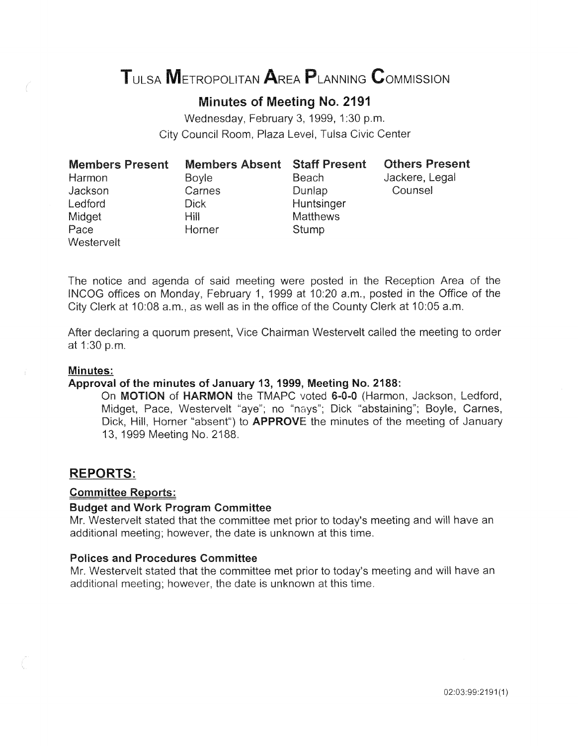# TULSA METROPOLITAN AREA PLANNING CoMMISSION

# Minutes of Meeting No. 2191

Wednesday, February 3, 1999, 1:30 p.m. City Council Room, Plaza Level, Tulsa Civic Center

| <b>Members Present</b> | <b>Members Absent Staff Present</b> |                 | <b>Others Present</b> |
|------------------------|-------------------------------------|-----------------|-----------------------|
| Harmon                 | <b>Boyle</b>                        | Beach           | Jackere, Legal        |
| Jackson                | Carnes                              | Dunlap          | Counsel               |
| Ledford                | Dick                                | Huntsinger      |                       |
| Midget                 | Hill                                | <b>Matthews</b> |                       |
| Pace                   | Horner                              | Stump           |                       |
| Westervelt             |                                     |                 |                       |

The notice and agenda of said meeting were posted in the Reception Area of the INCOG offices on Monday, February 1, 1999 at 10:20 a.m., posted in the Office of the City Clerk at 10:08 a.m., as well as in the office of the County Clerk at 10:05 a.m.

After declaring a quorum present, Vice Chairman Westervelt called the at 1:30 p.m.

#### Minutes:

## Approval of the minutes of January 13, 1999, Meeting No. 2188:

On MOTION of HARMON the TMAPC voted 6-0-0 (Harmon, Jackson, Ledford, Midget, Pace, Westervelt "aye"; no "nays"; Dick "abstaining"; Boyle, Carnes, Dick, Hill, Horner "absent") to APPROVE the minutes of the meeting of January 13, 1999 Meeting No. 2188.

## REPORTS:

#### Committee Reports:

#### Budget and Work Program Committee

Mr. Westervelt stated that the committee met prior to today's meeting and will have an additional meeting; however, the date is unknown at this time.

## Polices and Procedures Committee

Mr. Westervelt stated that the committee met prior to today's meeting and will have an additional meeting; however, the date is unknown at this time.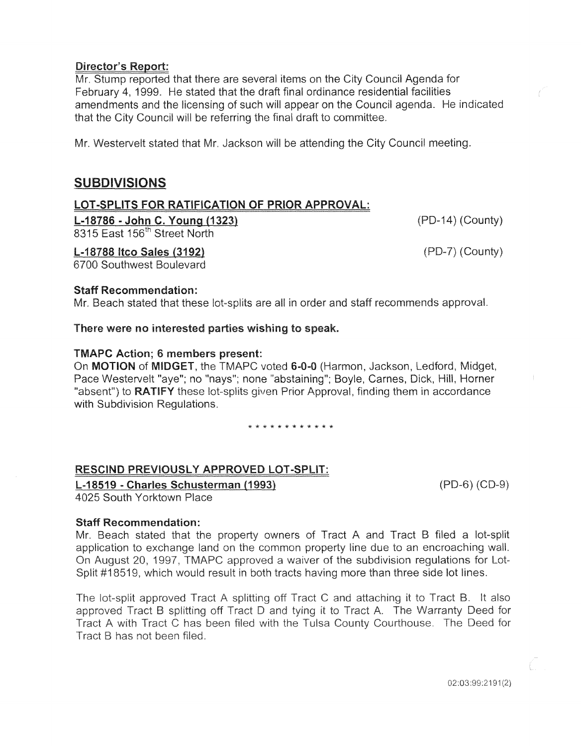## **Director's Report:**

Mr. Stump reported that there are several items on the City Council Agenda for February 4, 1999. He stated that the draft final ordinance residential facilities amendments and the licensing of such will appear on the Council agenda. He indicated that the City Council will be referring the final draft to committee.

Mr. Westervelt stated that Mr. Jackson will be attending the City Council meeting.

# SUBDIVISIONS

## LOT -SPLITS FOR RATIFICATION OF PRIOR APPROVAL:

L-18786- John C. Young (1323) 8315 East 156<sup>th</sup> Street North

 $(PD-14)$  (County)

(PD-7) (County)

L-18788 ltco Sales (3192)

6700 Southwest Boulevard

## Staff Recommendation:

Mr. Beach stated that these lot-splits are all in order and staff recommends approval.

## There were no interested parties wishing to speak.

## TMAPC Action; 6 members present:

On MOTION of MIDGET, the TMAPC voted 6-0-0 (Harmon, Jackson, Ledford, Midget, Pace Westervelt "aye"; no "nays"; none "abstaining"; Boyle, Carnes, Dick, Hill, Horner "absent") to **RATIFY** these lot-splits given Prior Approval, finding them in accordance with Subdivision Regulations.

\* \* \* \* \* \* \* \* \* \* \* \*

## RESCIND PREVIOUSLY APPROVED LOT-SPLIT:

L-18519 - Charles Schusterman (1993) 4025 South Yorktown Place

(PD-6) (CD-9)

## Staff Recommendation:

Mr. Beach stated that the property owners of Tract A and Tract B filed a lot-split application to exchange land on the common property line due to an encroaching wall. On August 20, 1997, TMAPC approved a waiver of the subdivision regulations for Lot-Split #18519, which would result in both tracts having more than three side lot lines.

The lot-split approved Tract A splitting off Tract C and attaching it to Tract B. It also approved Tract B splitting off Tract D and tying it to Tract A. The Warranty Deed for Tract A with Tract C has been filed with the Tulsa County Courthouse. The Deed for Tract B has not been filed.

02:03:99:2191(2)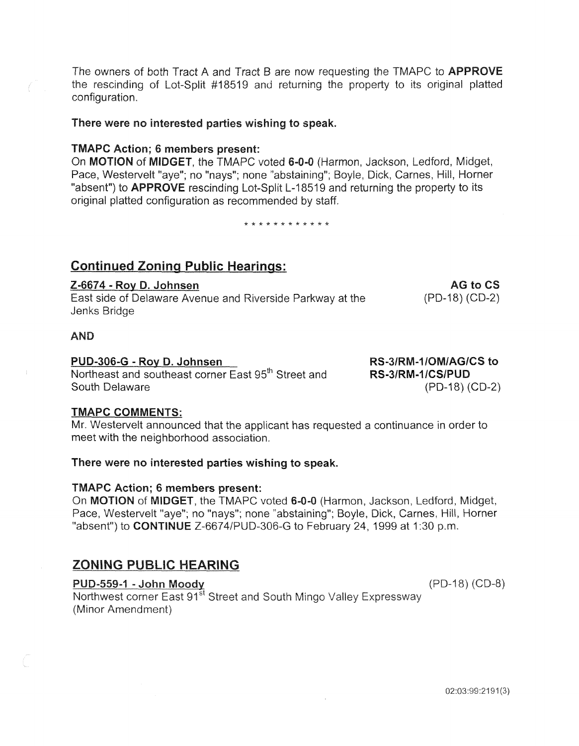The owners of both Tract A and Tract B are now requesting the TMAPC to **APPROVE** the rescinding of Lot-Split #18519 and returning the property to its original platted configuration.

#### There were no interested parties wishing to speak.

#### TMAPC Action; 6 members present:

On MOTION of MIDGET, the TMAPC voted 6-0-0 (Harmon, Jackson, Ledford, Midget, Pace, Westervelt "aye"; no "nays"; none "abstaining"; Boyle, Dick, Carnes, Hill, Horner "absent") to **APPROVE** rescinding Lot-Split L-18519 and returning the property to its original platted configuration as recommended by staff.

\* \* \* \* \* \* \* \* \* \* \*

## Continued Zoning Public Hearings:

## Z-6674- Roy D. Johnsen

East side of Delaware Avenue and Riverside Parkway at the Jenks Bridge

#### AND

#### PUD-306-G- Roy D. Johnsen

Northeast and southeast corner East 95<sup>th</sup> Street and South Delaware

#### TMAPC COMMENTS:

Mr. Westervelt announced that the applicant has requested a continuance in order to meet with the neighborhood association.

## There were no interested parties wishing to speak.

## TMAPC Action; 6 members present:

On MOTION of MIDGET, the TMAPC voted 6-0-0 (Harmon, Jackson, Ledford, Midget, Pace, Westervelt "aye"; no "nays"; none "abstaining"; Boyle, Dick, Carnes, Hill, Horner "absent") to **CONTINUE** Z-6674/PUD-306-G to February 24, 1999 at 1:30 p.m.

## ZONING PUBLIC HEARING

## PUD-559-1 -John Moody

Northwest corner East 91<sup>st</sup> Street and South Mingo Valley Expressway (Minor Amendment)

RS-3/RM-1/0M/AG/CS to RS-3/RM-1/CS/PUD (PD-18) (CD-2)

AG to CS

(PD-18) (CD-2)

 $(PD-18) (CD-8)$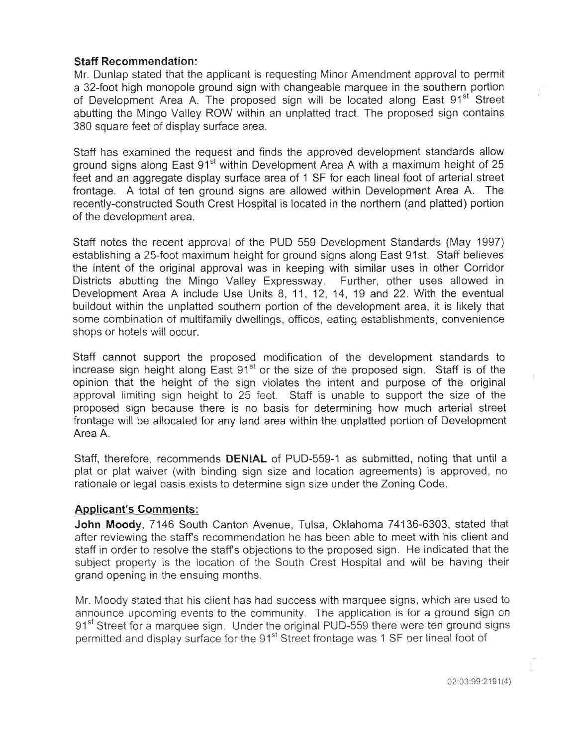## Staff Recommendation:

Mr. Dunlap stated that the applicant is requesting Minor Amendment approval to permit a 32-foot high monopole ground sign with changeable marquee in the southern portion of Development Area A. The proposed sign will be located along East 91<sup>st</sup> Street abutting the Mingo Valley ROW within an unplatted tract. The proposed sign contains 380 square feet of display surface area.

Staff has examined the request and finds the approved development standards allow ground signs along East  $91<sup>st</sup>$  within Development Area A with a maximum height of 25 feet and an aggregate display surface area of 1 SF for each lineal foot of arterial street frontage. A total of ten ground signs are allowed within Development Area A. The recently-constructed South Crest Hospital is located in the northern (and platted) portion of the development area.

Staff notes the recent approval of the PUD 559 Development Standards (May 1997) establishing a 25-foot maximum height for ground signs along East 91st. Staff believes the intent of the original approval was in keeping with similar uses in other Corridor Districts abutting the Mingo Valley Expressway. Further, other uses allowed in Development Area A include Use Units 8, 11, 12, 14, 19 and 22. With the eventual buildout within the unplatted southern portion of the development area, it is likely that some combination of multifamily dwellings, offices, eating establishments, convenience shops or hotels will occur.

Staff cannot support the proposed modification of the development standards to increase sign height along East  $91<sup>st</sup>$  or the size of the proposed sign. Staff is of the opinion that the height of the sign violates the intent and purpose of the original approval limiting sign height to 25 feet. Staff is unable to support the size of the proposed sign because there is no basis for determining how much arterial street frontage will be allocated for any land area within the unplatted portion of Development Area A.

Staff, therefore, recommends DENIAL of PUD-559-1 as submitted, noting that until a plat or plat waiver (with binding sign size and location agreements) is approved, no rationale or legal basis exists to determine sign size under the Zoning Code.

## Applicant's Comments:

John Moody, 7146 South Canton Avenue, Tulsa, Oklahoma 74136-6303, stated that after reviewing the staff's recommendation he has been able to meet with his client and staff in order to resolve the staff's objections to the proposed sign. He indicated that the subject property is the location of the South Crest Hospital and will be having their grand opening in the ensuing months.

Mr. Moody stated that his client has had success with marquee signs, which are used to announce upcoming events to the community. The application is for a ground sign on 91<sup>st</sup> Street for a marquee sign. Under the original PUD-559 there were ten ground signs permitted and display surface for the 91<sup>st</sup> Street frontage was 1 SF per lineal foot of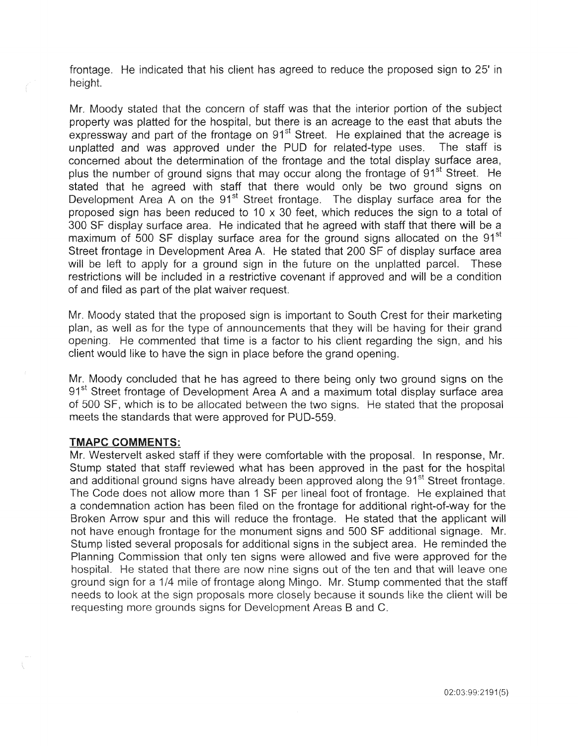frontage. He indicated that his client has agreed to reduce the proposed sign to 25' in height.

Mr. Moody stated that the concern of staff was that the interior portion of the subject property was platted for the hospital, but there is an acreage to the east that abuts the expressway and part of the frontage on 91<sup>st</sup> Street. He explained that the acreage is unplatted and was approved under the PUD for related-type uses. The staff is concerned about the determination of the frontage and the total display surface area, plus the number of ground signs that may occur along the frontage of  $91<sup>st</sup>$  Street. He stated that he agreed with staff that there would only be two ground signs on Development Area A on the  $91<sup>st</sup>$  Street frontage. The display surface area for the proposed sign has been reduced to 10  $\times$  30 feet, which reduces the sign to a total of 300 SF display surface area. He indicated that he agreed with staff that there will be a maximum of 500 SF display surface area for the ground signs allocated on the 91<sup>st</sup> Street frontage in Development Area A. He stated that 200 SF of display surface area will be left to apply for a ground sign in the future on the unplatted parcel. These restrictions will be included in a restrictive covenant if approved and will be a condition of and filed as part of the plat waiver request.

Mr. Moody stated that the proposed sign is important to South Crest for their marketing plan, as well as for the type of announcements that they will be having for their grand opening. He commented that time is a factor to his client regarding the sign, and his client would like to have the sign in place before the grand opening.

Mr. Moody concluded that he has agreed to there being only two ground signs on the 91<sup>st</sup> Street frontage of Development Area A and a maximum total display surface area of 500 SF, which is to be allocated between the two signs. He stated that the proposal meets the standards that were approved for PUD-559.

#### **TMAPC COMMENTS:**

Mr. Westervelt asked staff if they were comfortable with the proposal. In response, Mr. Stump stated that staff reviewed what has been approved in the past for the hospital and additional ground signs have already been approved along the 91<sup>st</sup> Street frontage. The Code does not allow more than 1 SF per lineal foot of frontage. He explained that a condemnation action has been filed on the frontage for additional right-of-way for the Broken Arrow spur and this will reduce the frontage. He stated that the applicant will not have enough frontage for the monument signs and 500 SF additional signage. Mr. Stump listed several proposals for additional signs in the subject area. He reminded the Planning Commission that only ten signs were allowed and five were approved for the hospital. He stated that there are now nine signs out of the ten and that will leave one ground sign for a 1/4 mile of frontage along Mingo. Mr. Stump commented that the staff needs to look at the sign proposals more closely because it sounds like the client will be requesting more grounds signs for Development Areas B and C.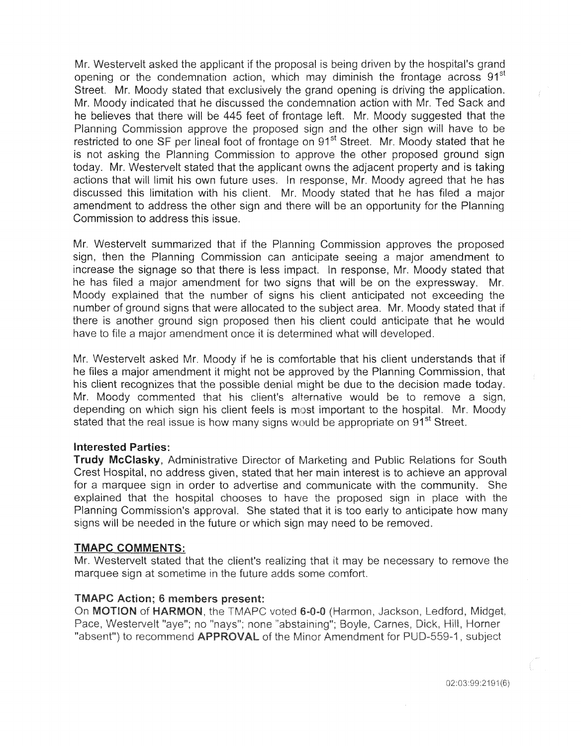Mr. Westervelt asked the applicant if the proposal is being driven by the hospital's grand opening or the condemnation action, which may diminish the frontage across 91<sup>st</sup> Street. Mr. Moody stated that exclusively the grand opening is driving the application. Mr. Moody indicated that he discussed the condemnation action with Mr. Ted Sack and he believes that there will be 445 feet of frontage left. Mr. Moody suggested that the Planning Commission approve the proposed sign and the other sign will have to be restricted to one SF per lineal foot of frontage on 91<sup>st</sup> Street. Mr. Moody stated that he is not asking the Planning Commission to approve the other proposed ground sign today. Mr. Westervelt stated that the applicant owns the adjacent property and is taking actions that will limit his own future uses. In response, Mr. Moody agreed that he has discussed this limitation with his client. Mr. Moody stated that he has filed a major amendment to address the other sign and there will be an opportunity for the Planning Commission to address this issue.

Mr. Westervelt summarized that if the Planning Commission approves the proposed sign, then the Planning Commission can anticipate seeing a major amendment to increase the signage so that there is less impact. In response, Mr. Moody stated that he has filed a major amendment for two signs that will be on the expressway. Mr. Moody explained that the number of signs his client anticipated not exceeding the number of ground signs that were allocated to the subject area. Mr. Moody stated that if there is another ground sign proposed then his client could anticipate that he would have to file a major amendment once it is determined what will developed.

Mr. Westervelt asked Mr. Moody if he is comfortable that his client understands that if he files a major amendment it might not be approved by the Planning Commission, that his client recognizes that the possible denial might be due to the decision made today. Mr. Moody commented that his client's alternative would be to remove a sign, depending on which sign his client feels is most important to the hospital. Mr. Moody stated that the real issue is how many signs would be appropriate on 91<sup>st</sup> Street.

## Interested Parties:

Trudy McClasky, Administrative Director of Marketing and Public Relations for South Crest Hospital, no address given, stated that her main interest is to achieve an approval for a marquee sign in order to advertise and communicate with the community. She explained that the hospital chooses to have the proposed sign in place with Planning Commission's approval. She stated that it is too early to anticipate how signs will be needed in the future or which sign may need to be removed.

#### **TMAPC COMMENTS:**

Mr. Westervelt stated that the client's realizing that it may be necessary to remove the marquee sign at sometime in the future adds some comfort.

## **TMAPC Action: 6 members present:**

On MOTION of HARMON, the TMAPC voted 6-0-0 (Harmon, Jackson, Ledford, Midget, Pace, Westervelt "aye"; no "nays"; none "abstaining"; Boyle, Carnes, Dick, Hill, Horner "absent") to recommend **APPROVAL** of the Minor Amendment for PUD-559-1, subject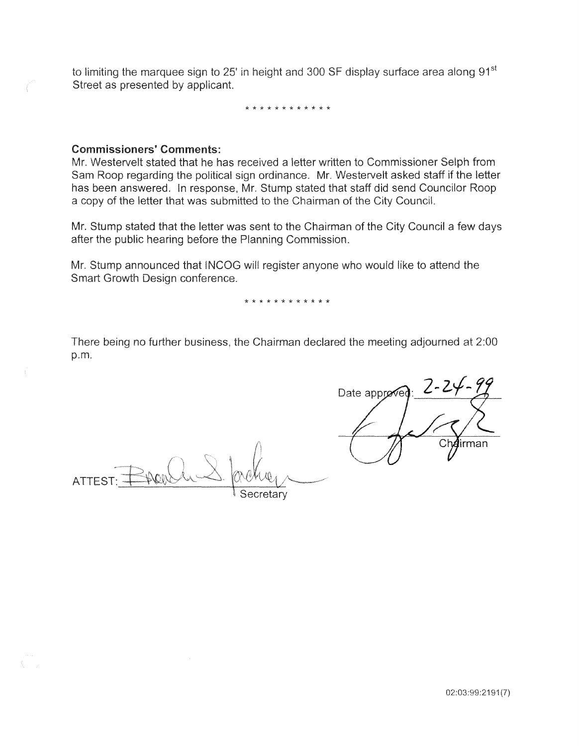to limiting the marquee sign to 25' in height and 300 SF display surface area along 91<sup>st</sup> Street as presented by applicant.

\* \* \* \* \* \* \* \* \* \* \* \*

## Commissioners' Comments:

Mr. Westervelt stated that he has received a letter written to Commissioner Selph from Sam Roop regarding the political sign ordinance. Mr. Westervelt asked staff if the letter has been answered. In response, Mr. Stump stated that staff did send Councilor Roop a copy of the letter that was submitted to the Chairman of the City Council.

Mr. Stump stated that the letter was sent to the Chairman of the City Council a few days after the public hearing before the Planning Commission.

Stump announced that INCOG will register anyone who would like to attend Smart Growth Design conference.

\* \* \* \* \* \* \* \* \* \* \* \*

being no further business, the Chairman declared the meeting adjourned p.m.

**ATTEST** Secretarv

Date approve Ch**⁄a**irman

02:03:99:2191 (7)